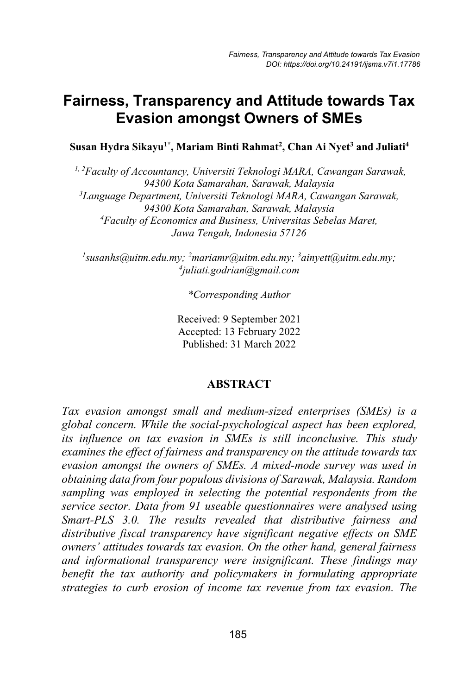# **Fairness, Transparency and Attitude towards Tax Evasion amongst Owners of SMEs**

**Susan Hydra Sikayu1\* , Mariam Binti Rahmat2 , Chan Ai Nyet3 and Juliati4**

*1, 2Faculty of Accountancy, Universiti Teknologi MARA, Cawangan Sarawak, 94300 Kota Samarahan, Sarawak, Malaysia 3 Language Department, Universiti Teknologi MARA, Cawangan Sarawak, 94300 Kota Samarahan, Sarawak, Malaysia 4 Faculty of Economics and Business, Universitas Sebelas Maret, Jawa Tengah, Indonesia 57126*

*1 susanhs@uitm.edu.my; 2 mariamr@uitm.edu.my; 3 ainyett@uitm.edu.my; 4 juliati.godrian@gmail.com*

*\*Corresponding Author*

Received: 9 September 2021 Accepted: 13 February 2022 Published: 31 March 2022

#### **ABSTRACT**

*Tax evasion amongst small and medium-sized enterprises (SMEs) is a global concern. While the social-psychological aspect has been explored, its influence on tax evasion in SMEs is still inconclusive. This study examines the effect of fairness and transparency on the attitude towards tax evasion amongst the owners of SMEs. A mixed-mode survey was used in obtaining data from four populous divisions of Sarawak, Malaysia. Random sampling was employed in selecting the potential respondents from the service sector. Data from 91 useable questionnaires were analysed using Smart-PLS 3.0. The results revealed that distributive fairness and distributive fiscal transparency have significant negative effects on SME owners' attitudes towards tax evasion. On the other hand, general fairness and informational transparency were insignificant. These findings may benefit the tax authority and policymakers in formulating appropriate strategies to curb erosion of income tax revenue from tax evasion. The*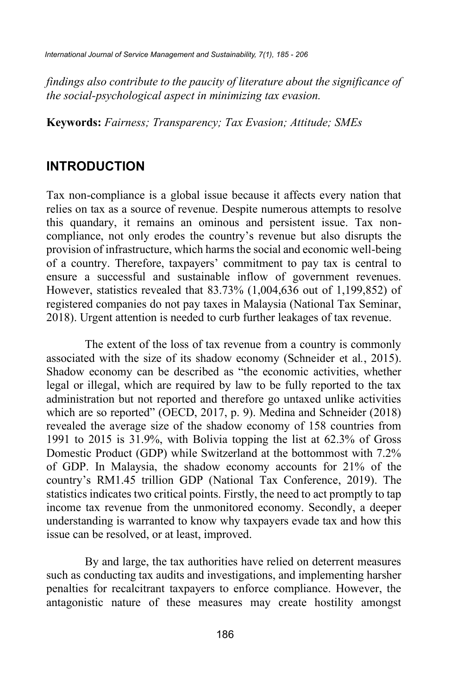*findings also contribute to the paucity of literature about the significance of the social-psychological aspect in minimizing tax evasion.*

**Keywords:** *Fairness; Transparency; Tax Evasion; Attitude; SMEs*

### **INTRODUCTION**

Tax non-compliance is a global issue because it affects every nation that relies on tax as a source of revenue. Despite numerous attempts to resolve this quandary, it remains an ominous and persistent issue. Tax noncompliance, not only erodes the country's revenue but also disrupts the provision of infrastructure, which harms the social and economic well-being of a country. Therefore, taxpayers' commitment to pay tax is central to ensure a successful and sustainable inflow of government revenues. However, statistics revealed that 83.73% (1,004,636 out of 1,199,852) of registered companies do not pay taxes in Malaysia (National Tax Seminar, 2018). Urgent attention is needed to curb further leakages of tax revenue.

The extent of the loss of tax revenue from a country is commonly associated with the size of its shadow economy (Schneider et al*.*, 2015). Shadow economy can be described as "the economic activities, whether legal or illegal, which are required by law to be fully reported to the tax administration but not reported and therefore go untaxed unlike activities which are so reported" (OECD, 2017, p. 9). Medina and Schneider (2018) revealed the average size of the shadow economy of 158 countries from 1991 to 2015 is 31.9%, with Bolivia topping the list at 62.3% of Gross Domestic Product (GDP) while Switzerland at the bottommost with 7.2% of GDP. In Malaysia, the shadow economy accounts for 21% of the country's RM1.45 trillion GDP (National Tax Conference, 2019). The statistics indicates two critical points. Firstly, the need to act promptly to tap income tax revenue from the unmonitored economy. Secondly, a deeper understanding is warranted to know why taxpayers evade tax and how this issue can be resolved, or at least, improved.

By and large, the tax authorities have relied on deterrent measures such as conducting tax audits and investigations, and implementing harsher penalties for recalcitrant taxpayers to enforce compliance. However, the antagonistic nature of these measures may create hostility amongst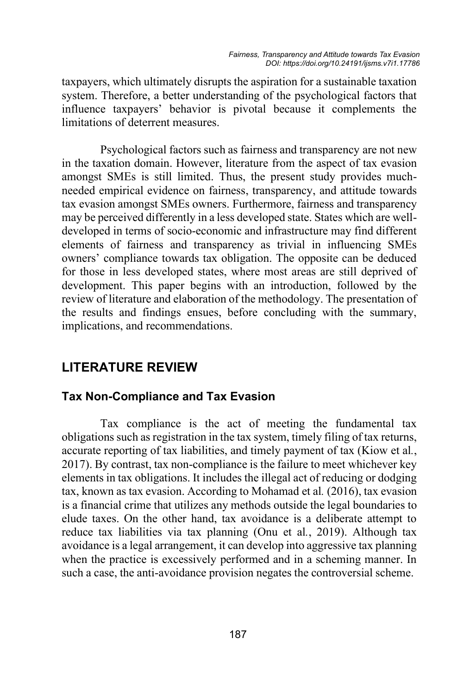taxpayers, which ultimately disrupts the aspiration for a sustainable taxation system. Therefore, a better understanding of the psychological factors that influence taxpayers' behavior is pivotal because it complements the limitations of deterrent measures.

Psychological factors such as fairness and transparency are not new in the taxation domain. However, literature from the aspect of tax evasion amongst SMEs is still limited. Thus, the present study provides muchneeded empirical evidence on fairness, transparency, and attitude towards tax evasion amongst SMEs owners. Furthermore, fairness and transparency may be perceived differently in a less developed state. States which are welldeveloped in terms of socio-economic and infrastructure may find different elements of fairness and transparency as trivial in influencing SMEs owners' compliance towards tax obligation. The opposite can be deduced for those in less developed states, where most areas are still deprived of development. This paper begins with an introduction, followed by the review of literature and elaboration of the methodology. The presentation of the results and findings ensues, before concluding with the summary, implications, and recommendations.

# **LITERATURE REVIEW**

### **Tax Non-Compliance and Tax Evasion**

Tax compliance is the act of meeting the fundamental tax obligations such as registration in the tax system, timely filing of tax returns, accurate reporting of tax liabilities, and timely payment of tax (Kiow et al*.*, 2017). By contrast, tax non-compliance is the failure to meet whichever key elements in tax obligations. It includes the illegal act of reducing or dodging tax, known as tax evasion. According to Mohamad et al*.* (2016), tax evasion is a financial crime that utilizes any methods outside the legal boundaries to elude taxes. On the other hand, tax avoidance is a deliberate attempt to reduce tax liabilities via tax planning (Onu et al*.*, 2019). Although tax avoidance is a legal arrangement, it can develop into aggressive tax planning when the practice is excessively performed and in a scheming manner. In such a case, the anti-avoidance provision negates the controversial scheme.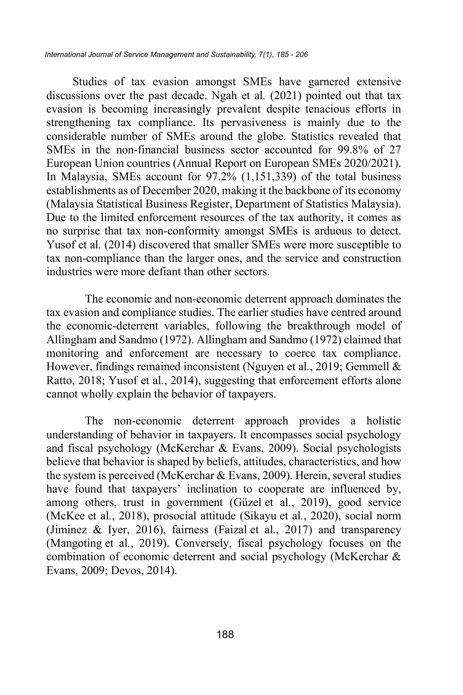Studies of tax evasion amongst SMEs have garnered extensive discussions over the past decade. Ngah et al*.* (2021) pointed out that tax evasion is becoming increasingly prevalent despite tenacious efforts in strengthening tax compliance. Its pervasiveness is mainly due to the considerable number of SMEs around the globe. Statistics revealed that SMEs in the non-financial business sector accounted for 99.8% of 27 European Union countries (Annual Report on European SMEs 2020/2021). In Malaysia, SMEs account for 97.2% (1,151,339) of the total business establishments as of December 2020, making it the backbone of its economy (Malaysia Statistical Business Register, Department of Statistics Malaysia). Due to the limited enforcement resources of the tax authority, it comes as no surprise that tax non-conformity amongst SMEs is arduous to detect. Yusof et al*.* (2014) discovered that smaller SMEs were more susceptible to tax non-compliance than the larger ones, and the service and construction industries were more defiant than other sectors.

The economic and non-economic deterrent approach dominates the tax evasion and compliance studies. The earlier studies have centred around the economic-deterrent variables, following the breakthrough model of Allingham and Sandmo (1972). Allingham and Sandmo (1972) claimed that monitoring and enforcement are necessary to coerce tax compliance. However, findings remained inconsistent (Nguyen et al*.*, 2019; Gemmell & Ratto, 2018; Yusof et al*.*, 2014), suggesting that enforcement efforts alone cannot wholly explain the behavior of taxpayers.

The non-economic deterrent approach provides a holistic understanding of behavior in taxpayers. It encompasses social psychology and fiscal psychology (McKerchar & Evans, 2009). Social psychologists believe that behavior is shaped by beliefs, attitudes, characteristics, and how the system is perceived (McKerchar & Evans, 2009). Herein, several studies have found that taxpayers' inclination to cooperate are influenced by, among others, trust in government (Güzel et al*.*, 2019), good service (McKee et al*.*, 2018), prosocial attitude (Sikayu et al*.*, 2020), social norm (Jiminez & Iyer, 2016), fairness (Faizal et al*.*, 2017) and transparency (Mangoting et al*.*, 2019). Conversely, fiscal psychology focuses on the combination of economic deterrent and social psychology (McKerchar & Evans, 2009; Devos, 2014).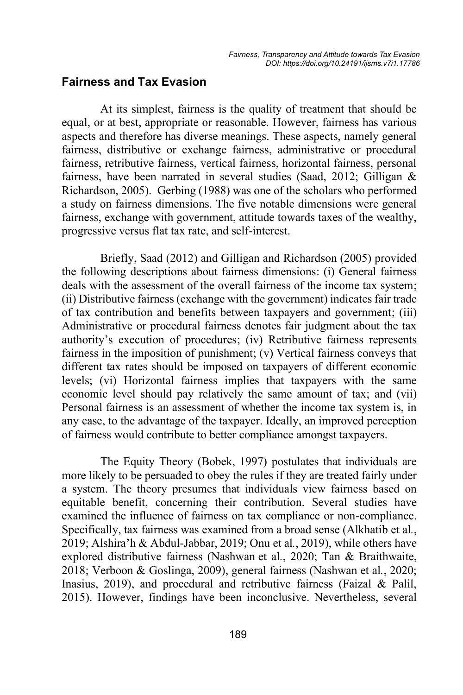### **Fairness and Tax Evasion**

At its simplest, fairness is the quality of treatment that should be equal, or at best, appropriate or reasonable. However, fairness has various aspects and therefore has diverse meanings. These aspects, namely general fairness, distributive or exchange fairness, administrative or procedural fairness, retributive fairness, vertical fairness, horizontal fairness, personal fairness, have been narrated in several studies (Saad, 2012; Gilligan & Richardson, 2005). Gerbing (1988) was one of the scholars who performed a study on fairness dimensions. The five notable dimensions were general fairness, exchange with government, attitude towards taxes of the wealthy, progressive versus flat tax rate, and self-interest.

Briefly, Saad (2012) and Gilligan and Richardson (2005) provided the following descriptions about fairness dimensions: (i) General fairness deals with the assessment of the overall fairness of the income tax system; (ii) Distributive fairness (exchange with the government) indicates fair trade of tax contribution and benefits between taxpayers and government; (iii) Administrative or procedural fairness denotes fair judgment about the tax authority's execution of procedures; (iv) Retributive fairness represents fairness in the imposition of punishment; (v) Vertical fairness conveys that different tax rates should be imposed on taxpayers of different economic levels; (vi) Horizontal fairness implies that taxpayers with the same economic level should pay relatively the same amount of tax; and (vii) Personal fairness is an assessment of whether the income tax system is, in any case, to the advantage of the taxpayer. Ideally, an improved perception of fairness would contribute to better compliance amongst taxpayers.

The Equity Theory (Bobek, 1997) postulates that individuals are more likely to be persuaded to obey the rules if they are treated fairly under a system. The theory presumes that individuals view fairness based on equitable benefit, concerning their contribution. Several studies have examined the influence of fairness on tax compliance or non-compliance. Specifically, tax fairness was examined from a broad sense (Alkhatib et al*.*, 2019; Alshira'h & Abdul-Jabbar, 2019; Onu et al*.*, 2019), while others have explored distributive fairness (Nashwan et al*.*, 2020; Tan & Braithwaite, 2018; Verboon & Goslinga, 2009), general fairness (Nashwan et al*.*, 2020; Inasius, 2019), and procedural and retributive fairness (Faizal & Palil, 2015). However, findings have been inconclusive. Nevertheless, several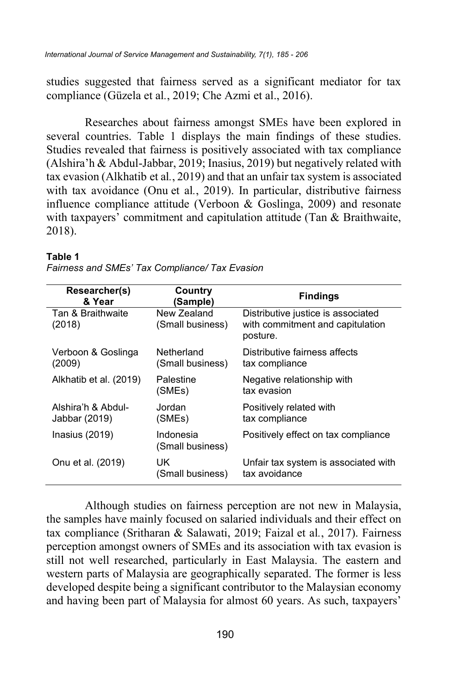studies suggested that fairness served as a significant mediator for tax compliance (Güzela et al*.*, 2019; Che Azmi et al., 2016).

Researches about fairness amongst SMEs have been explored in several countries. Table 1 displays the main findings of these studies. Studies revealed that fairness is positively associated with tax compliance (Alshira'h & Abdul-Jabbar, 2019; Inasius, 2019) but negatively related with tax evasion (Alkhatib et al*.*, 2019) and that an unfair tax system is associated with tax avoidance (Onu et al*.*, 2019). In particular, distributive fairness influence compliance attitude (Verboon & Goslinga, 2009) and resonate with taxpayers' commitment and capitulation attitude (Tan & Braithwaite, 2018).

| Researcher(s)<br>& Year             | Country<br>(Sample)             | <b>Findings</b>                                                                    |  |
|-------------------------------------|---------------------------------|------------------------------------------------------------------------------------|--|
| Tan & Braithwaite<br>(2018)         | New Zealand<br>(Small business) | Distributive justice is associated<br>with commitment and capitulation<br>posture. |  |
| Verboon & Goslinga<br>(2009)        | Netherland<br>(Small business)  | Distributive fairness affects<br>tax compliance                                    |  |
| Alkhatib et al. (2019)              | Palestine<br>(SMEs)             | Negative relationship with<br>tax evasion                                          |  |
| Alshira'h & Abdul-<br>Jabbar (2019) | Jordan<br>(SMEs)                | Positively related with<br>tax compliance                                          |  |
| Inasius $(2019)$                    | Indonesia<br>(Small business)   | Positively effect on tax compliance                                                |  |
| Onu et al. (2019)                   | UK<br>(Small business)          | Unfair tax system is associated with<br>tax avoidance                              |  |

#### **Table 1**

Although studies on fairness perception are not new in Malaysia, the samples have mainly focused on salaried individuals and their effect on tax compliance (Sritharan & Salawati, 2019; Faizal et al*.*, 2017). Fairness perception amongst owners of SMEs and its association with tax evasion is still not well researched, particularly in East Malaysia. The eastern and western parts of Malaysia are geographically separated. The former is less developed despite being a significant contributor to the Malaysian economy and having been part of Malaysia for almost 60 years. As such, taxpayers'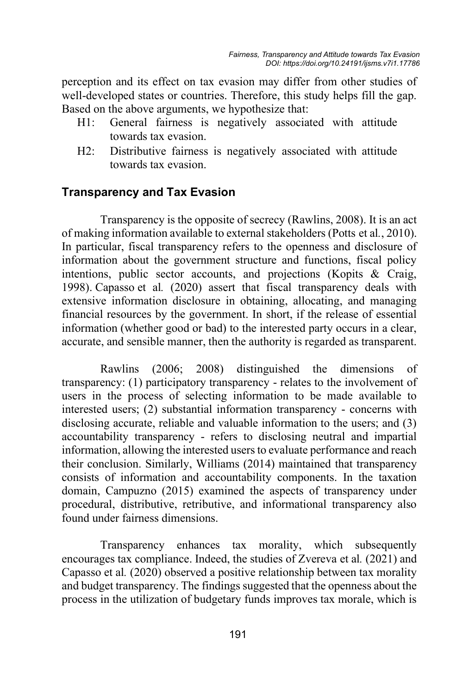perception and its effect on tax evasion may differ from other studies of well-developed states or countries. Therefore, this study helps fill the gap. Based on the above arguments, we hypothesize that:

- H1: General fairness is negatively associated with attitude towards tax evasion.
- H2: Distributive fairness is negatively associated with attitude towards tax evasion.

### **Transparency and Tax Evasion**

Transparency is the opposite of secrecy (Rawlins, 2008). It is an act of making information available to external stakeholders (Potts et al*.*, 2010). In particular, fiscal transparency refers to the openness and disclosure of information about the government structure and functions, fiscal policy intentions, public sector accounts, and projections (Kopits & Craig, 1998). Capasso et al*.* (2020) assert that fiscal transparency deals with extensive information disclosure in obtaining, allocating, and managing financial resources by the government. In short, if the release of essential information (whether good or bad) to the interested party occurs in a clear, accurate, and sensible manner, then the authority is regarded as transparent.

 Rawlins (2006; 2008) distinguished the dimensions of transparency: (1) participatory transparency - relates to the involvement of users in the process of selecting information to be made available to interested users; (2) substantial information transparency - concerns with disclosing accurate, reliable and valuable information to the users; and (3) accountability transparency - refers to disclosing neutral and impartial information, allowing the interested users to evaluate performance and reach their conclusion. Similarly, Williams (2014) maintained that transparency consists of information and accountability components. In the taxation domain, Campuzno (2015) examined the aspects of transparency under procedural, distributive, retributive, and informational transparency also found under fairness dimensions.

Transparency enhances tax morality, which subsequently encourages tax compliance. Indeed, the studies of Zvereva et al*.* (2021) and Capasso et al*.* (2020) observed a positive relationship between tax morality and budget transparency. The findings suggested that the openness about the process in the utilization of budgetary funds improves tax morale, which is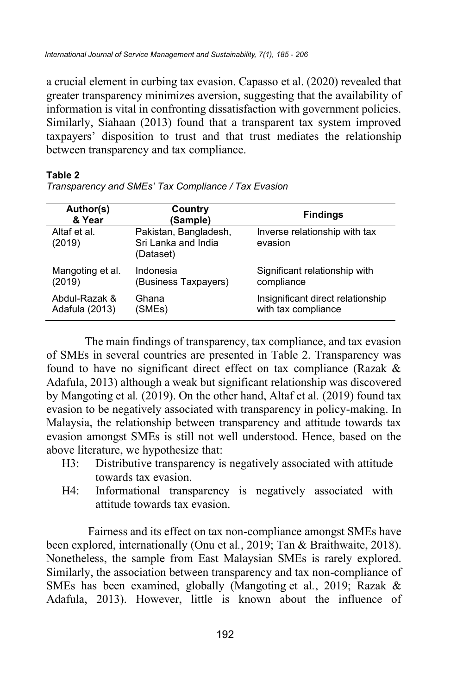a crucial element in curbing tax evasion. Capasso et al. (2020) revealed that greater transparency minimizes aversion, suggesting that the availability of information is vital in confronting dissatisfaction with government policies. Similarly, Siahaan (2013) found that a transparent tax system improved taxpayers' disposition to trust and that trust mediates the relationship between transparency and tax compliance.

#### **Table 2**

| Author(s)<br>& Year    | Country<br>(Sample)                                       | <b>Findings</b>                          |
|------------------------|-----------------------------------------------------------|------------------------------------------|
| Altaf et al.<br>(2019) | Pakistan, Bangladesh,<br>Sri Lanka and India<br>(Dataset) | Inverse relationship with tax<br>evasion |
| Mangoting et al.       | Indonesia                                                 | Significant relationship with            |
| (2019)                 | (Business Taxpayers)                                      | compliance                               |
| Abdul-Razak &          | Ghana                                                     | Insignificant direct relationship        |
| Adafula (2013)         | (SMEs)                                                    | with tax compliance                      |

*Transparency and SMEs' Tax Compliance / Tax Evasion*

The main findings of transparency, tax compliance, and tax evasion of SMEs in several countries are presented in Table 2. Transparency was found to have no significant direct effect on tax compliance (Razak & Adafula, 2013) although a weak but significant relationship was discovered by Mangoting et al*.* (2019). On the other hand, Altaf et al*.* (2019) found tax evasion to be negatively associated with transparency in policy-making. In Malaysia, the relationship between transparency and attitude towards tax evasion amongst SMEs is still not well understood. Hence, based on the above literature, we hypothesize that:

- H3: Distributive transparency is negatively associated with attitude towards tax evasion.
- H4: Informational transparency is negatively associated with attitude towards tax evasion.

Fairness and its effect on tax non-compliance amongst SMEs have been explored, internationally (Onu et al*.*, 2019; Tan & Braithwaite, 2018). Nonetheless, the sample from East Malaysian SMEs is rarely explored. Similarly, the association between transparency and tax non-compliance of SMEs has been examined, globally (Mangoting et al*.*, 2019; Razak & Adafula, 2013). However, little is known about the influence of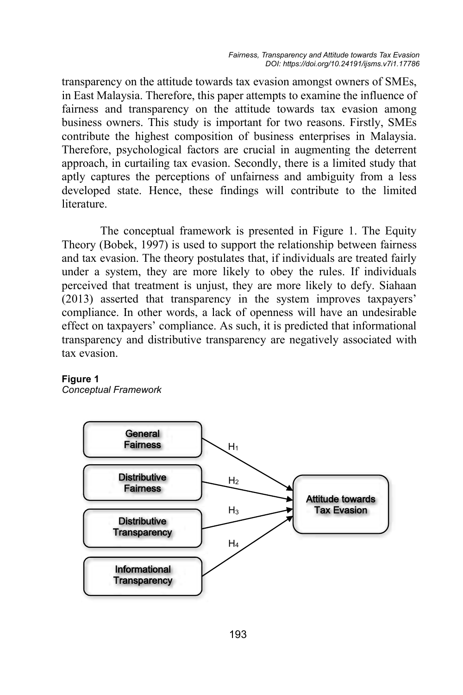transparency on the attitude towards tax evasion amongst owners of SMEs, in East Malaysia. Therefore, this paper attempts to examine the influence of fairness and transparency on the attitude towards tax evasion among business owners. This study is important for two reasons. Firstly, SMEs contribute the highest composition of business enterprises in Malaysia. Therefore, psychological factors are crucial in augmenting the deterrent approach, in curtailing tax evasion. Secondly, there is a limited study that aptly captures the perceptions of unfairness and ambiguity from a less developed state. Hence, these findings will contribute to the limited literature.

The conceptual framework is presented in Figure 1. The Equity Theory (Bobek, 1997) is used to support the relationship between fairness and tax evasion. The theory postulates that, if individuals are treated fairly under a system, they are more likely to obey the rules. If individuals perceived that treatment is unjust, they are more likely to defy. Siahaan (2013) asserted that transparency in the system improves taxpayers' compliance. In other words, a lack of openness will have an undesirable effect on taxpayers' compliance. As such, it is predicted that informational transparency and distributive transparency are negatively associated with tax evasion.

#### **Figure 1**

*Conceptual Framework* 

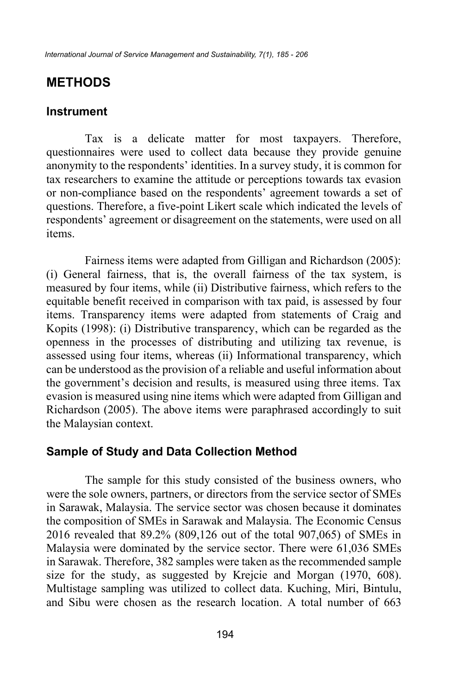## **METHODS**

### **Instrument**

Tax is a delicate matter for most taxpayers. Therefore, questionnaires were used to collect data because they provide genuine anonymity to the respondents' identities. In a survey study, it is common for tax researchers to examine the attitude or perceptions towards tax evasion or non-compliance based on the respondents' agreement towards a set of questions. Therefore, a five-point Likert scale which indicated the levels of respondents' agreement or disagreement on the statements, were used on all items.

Fairness items were adapted from Gilligan and Richardson (2005): (i) General fairness, that is, the overall fairness of the tax system, is measured by four items, while (ii) Distributive fairness, which refers to the equitable benefit received in comparison with tax paid, is assessed by four items. Transparency items were adapted from statements of Craig and Kopits (1998): (i) Distributive transparency, which can be regarded as the openness in the processes of distributing and utilizing tax revenue, is assessed using four items, whereas (ii) Informational transparency, which can be understood as the provision of a reliable and useful information about the government's decision and results, is measured using three items. Tax evasion is measured using nine items which were adapted from Gilligan and Richardson (2005). The above items were paraphrased accordingly to suit the Malaysian context.

### **Sample of Study and Data Collection Method**

The sample for this study consisted of the business owners, who were the sole owners, partners, or directors from the service sector of SMEs in Sarawak, Malaysia. The service sector was chosen because it dominates the composition of SMEs in Sarawak and Malaysia. The Economic Census 2016 revealed that 89.2% (809,126 out of the total 907,065) of SMEs in Malaysia were dominated by the service sector. There were 61,036 SMEs in Sarawak. Therefore, 382 samples were taken as the recommended sample size for the study, as suggested by Krejcie and Morgan (1970, 608). Multistage sampling was utilized to collect data. Kuching, Miri, Bintulu, and Sibu were chosen as the research location. A total number of 663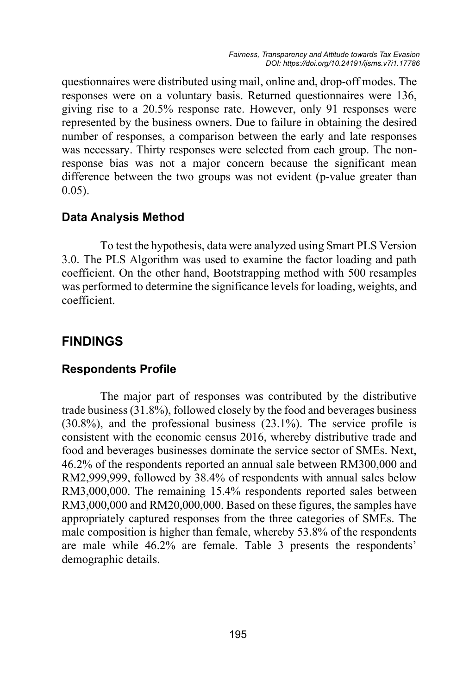questionnaires were distributed using mail, online and, drop-off modes. The responses were on a voluntary basis. Returned questionnaires were 136, giving rise to a 20.5% response rate. However, only 91 responses were represented by the business owners. Due to failure in obtaining the desired number of responses, a comparison between the early and late responses was necessary. Thirty responses were selected from each group. The nonresponse bias was not a major concern because the significant mean difference between the two groups was not evident (p-value greater than 0.05).

### **Data Analysis Method**

To test the hypothesis, data were analyzed using Smart PLS Version 3.0. The PLS Algorithm was used to examine the factor loading and path coefficient. On the other hand, Bootstrapping method with 500 resamples was performed to determine the significance levels for loading, weights, and coefficient.

### **FINDINGS**

#### **Respondents Profile**

The major part of responses was contributed by the distributive trade business (31.8%), followed closely by the food and beverages business (30.8%), and the professional business (23.1%). The service profile is consistent with the economic census 2016, whereby distributive trade and food and beverages businesses dominate the service sector of SMEs. Next, 46.2% of the respondents reported an annual sale between RM300,000 and RM2,999,999, followed by 38.4% of respondents with annual sales below RM3,000,000. The remaining 15.4% respondents reported sales between RM3,000,000 and RM20,000,000. Based on these figures, the samples have appropriately captured responses from the three categories of SMEs. The male composition is higher than female, whereby 53.8% of the respondents are male while 46.2% are female. Table 3 presents the respondents' demographic details.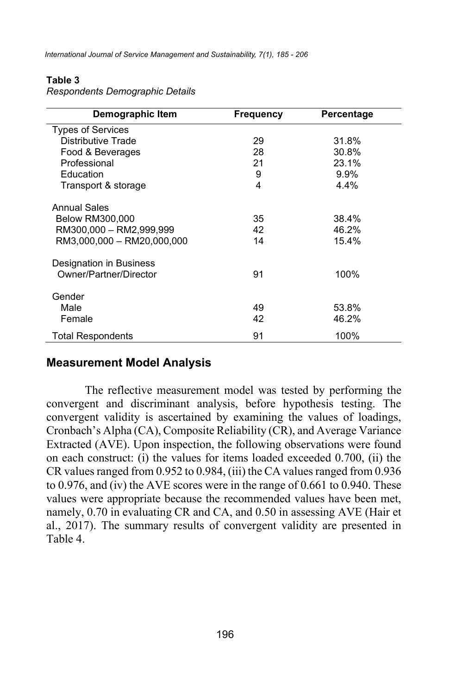*International Journal of Service Management and Sustainability, 7(1), 185 - 206*

#### **Table 3**

| Demographic Item           | <b>Frequency</b> | Percentage |
|----------------------------|------------------|------------|
| <b>Types of Services</b>   |                  |            |
| Distributive Trade         | 29               | 31.8%      |
| Food & Beverages           | 28               | 30.8%      |
| Professional               | 21               | 23.1%      |
| Education                  | 9                | 9.9%       |
| Transport & storage        | 4                | 4.4%       |
| <b>Annual Sales</b>        |                  |            |
| <b>Below RM300,000</b>     | 35               | 38.4%      |
| RM300,000 - RM2,999,999    | 42               | 46.2%      |
| RM3,000,000 - RM20,000,000 | 14               | 15.4%      |
| Designation in Business    |                  |            |
| Owner/Partner/Director     | 91               | 100%       |
| Gender                     |                  |            |
| Male                       | 49               | 53.8%      |
| Female                     | 42               | 46.2%      |
| Total Respondents          | 91               | 100%       |

*Respondents Demographic Details*

### **Measurement Model Analysis**

The reflective measurement model was tested by performing the convergent and discriminant analysis, before hypothesis testing. The convergent validity is ascertained by examining the values of loadings, Cronbach's Alpha (CA), Composite Reliability (CR), and Average Variance Extracted (AVE). Upon inspection, the following observations were found on each construct: (i) the values for items loaded exceeded 0.700, (ii) the CR values ranged from 0.952 to 0.984, (iii) the CA values ranged from 0.936 to 0.976, and (iv) the AVE scores were in the range of 0.661 to 0.940. These values were appropriate because the recommended values have been met, namely, 0.70 in evaluating CR and CA, and 0.50 in assessing AVE (Hair et al., 2017). The summary results of convergent validity are presented in Table 4.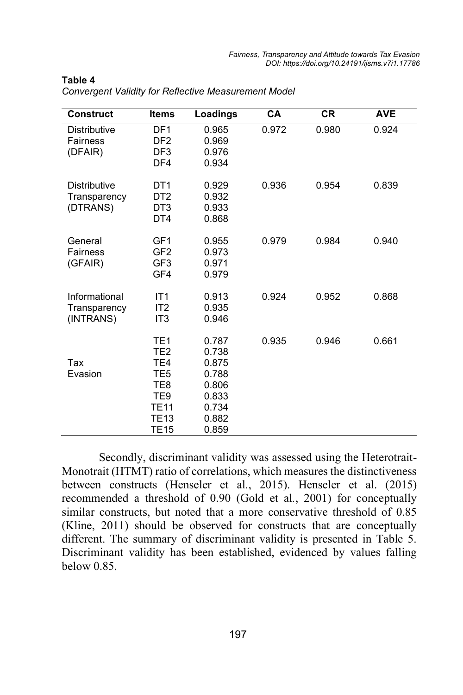| <b>Construct</b>                                | <b>Items</b>                                                                                                                                    | Loadings                                                                      | <b>CA</b> | <b>CR</b> | <b>AVE</b> |
|-------------------------------------------------|-------------------------------------------------------------------------------------------------------------------------------------------------|-------------------------------------------------------------------------------|-----------|-----------|------------|
| <b>Distributive</b><br>Fairness<br>(DFAIR)      | DF <sub>1</sub><br>DF <sub>2</sub><br>DF <sub>3</sub><br>DF4                                                                                    | 0.965<br>0.969<br>0.976<br>0.934                                              | 0.972     | 0.980     | 0.924      |
| <b>Distributive</b><br>Transparency<br>(DTRANS) | DT <sub>1</sub><br>DT <sub>2</sub><br>DT <sub>3</sub><br>DT4                                                                                    | 0.929<br>0.932<br>0.933<br>0.868                                              | 0.936     | 0.954     | 0.839      |
| General<br>Fairness<br>(GFAIR)                  | GF <sub>1</sub><br>GF <sub>2</sub><br>GF <sub>3</sub><br>GF4                                                                                    | 0.955<br>0.973<br>0.971<br>0.979                                              | 0.979     | 0.984     | 0.940      |
| Informational<br>Transparency<br>(INTRANS)      | IT1<br>IT <sub>2</sub><br>IT <sub>3</sub>                                                                                                       | 0.913<br>0.935<br>0.946                                                       | 0.924     | 0.952     | 0.868      |
| Tax<br>Evasion                                  | TE <sub>1</sub><br>TE <sub>2</sub><br>TE4<br>TE <sub>5</sub><br>TE <sub>8</sub><br>TE <sub>9</sub><br><b>TE11</b><br><b>TE13</b><br><b>TE15</b> | 0.787<br>0.738<br>0.875<br>0.788<br>0.806<br>0.833<br>0.734<br>0.882<br>0.859 | 0.935     | 0.946     | 0.661      |

**Table 4**

*Convergent Validity for Reflective Measurement Model*

 Secondly, discriminant validity was assessed using the Heterotrait-Monotrait (HTMT) ratio of correlations, which measures the distinctiveness between constructs (Henseler et al*.*, 2015). Henseler et al. (2015) recommended a threshold of 0.90 (Gold et al*.*, 2001) for conceptually similar constructs, but noted that a more conservative threshold of 0.85 (Kline, 2011) should be observed for constructs that are conceptually different. The summary of discriminant validity is presented in Table 5. Discriminant validity has been established, evidenced by values falling below 0.85.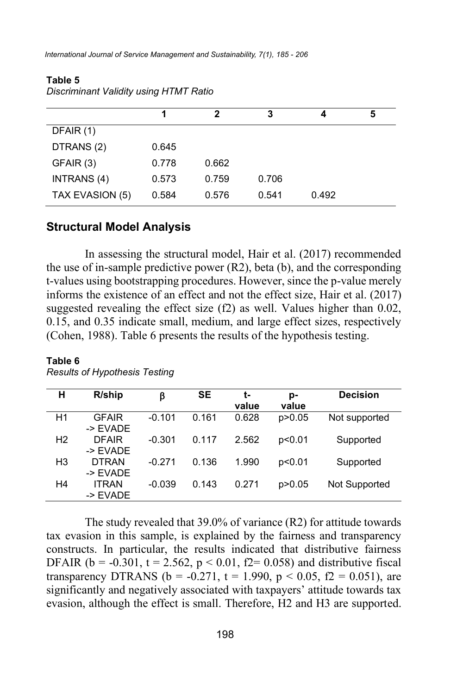*International Journal of Service Management and Sustainability, 7(1), 185 - 206*

|                 |       | 2     | 3     | 4     | 5 |
|-----------------|-------|-------|-------|-------|---|
| DFAIR (1)       |       |       |       |       |   |
| DTRANS (2)      | 0.645 |       |       |       |   |
| GFAIR (3)       | 0.778 | 0.662 |       |       |   |
| INTRANS (4)     | 0.573 | 0.759 | 0.706 |       |   |
| TAX EVASION (5) | 0.584 | 0.576 | 0.541 | 0.492 |   |

#### **Table 5** *Discriminant Validity using HTMT Ratio*

### **Structural Model Analysis**

In assessing the structural model, Hair et al. (2017) recommended the use of in-sample predictive power (R2), beta (b), and the corresponding t-values using bootstrapping procedures. However, since the p-value merely informs the existence of an effect and not the effect size, Hair et al. (2017) suggested revealing the effect size (f2) as well. Values higher than 0.02, 0.15, and 0.35 indicate small, medium, and large effect sizes, respectively (Cohen, 1988). Table 6 presents the results of the hypothesis testing.

| н              | R/ship              | β        | <b>SE</b> | t-    | p-       | <b>Decision</b> |
|----------------|---------------------|----------|-----------|-------|----------|-----------------|
|                |                     |          |           | value | value    |                 |
| H1             | <b>GFAIR</b>        | $-0.101$ | 0.161     | 0.628 | p > 0.05 | Not supported   |
|                | -> EVADE            |          |           |       |          |                 |
| H <sub>2</sub> | <b>DFAIR</b>        | $-0.301$ | 0.117     | 2.562 | p<0.01   | Supported       |
|                | $\rightarrow$ FVADE |          |           |       |          |                 |
| H <sub>3</sub> | <b>DTRAN</b>        | $-0.271$ | 0.136     | 1.990 | p<0.01   | Supported       |
|                | -> FVADF            |          |           |       |          |                 |
| H4             | <b>ITRAN</b>        | $-0.039$ | 0.143     | 0.271 | p > 0.05 | Not Supported   |
|                | -> EVADE            |          |           |       |          |                 |

### **Table 6** *Results of Hypothesis Testing*

The study revealed that 39.0% of variance (R2) for attitude towards tax evasion in this sample, is explained by the fairness and transparency constructs. In particular, the results indicated that distributive fairness DFAIR ( $b = -0.301$ ,  $t = 2.562$ ,  $p < 0.01$ ,  $f2 = 0.058$ ) and distributive fiscal transparency DTRANS ( $b = -0.271$ ,  $t = 1.990$ ,  $p < 0.05$ ,  $f2 = 0.051$ ), are significantly and negatively associated with taxpayers' attitude towards tax evasion, although the effect is small. Therefore, H2 and H3 are supported.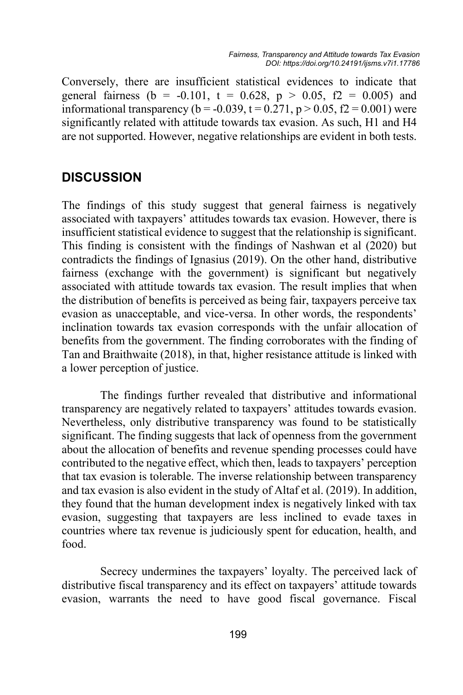Conversely, there are insufficient statistical evidences to indicate that general fairness (b = -0.101, t = 0.628, p > 0.05, f2 = 0.005) and informational transparency ( $b = -0.039$ ,  $t = 0.271$ ,  $p > 0.05$ ,  $f2 = 0.001$ ) were significantly related with attitude towards tax evasion. As such, H1 and H4 are not supported. However, negative relationships are evident in both tests.

## **DISCUSSION**

The findings of this study suggest that general fairness is negatively associated with taxpayers' attitudes towards tax evasion. However, there is insufficient statistical evidence to suggest that the relationship is significant. This finding is consistent with the findings of Nashwan et al (2020) but contradicts the findings of Ignasius (2019). On the other hand, distributive fairness (exchange with the government) is significant but negatively associated with attitude towards tax evasion. The result implies that when the distribution of benefits is perceived as being fair, taxpayers perceive tax evasion as unacceptable, and vice-versa. In other words, the respondents' inclination towards tax evasion corresponds with the unfair allocation of benefits from the government. The finding corroborates with the finding of Tan and Braithwaite (2018), in that, higher resistance attitude is linked with a lower perception of justice.

The findings further revealed that distributive and informational transparency are negatively related to taxpayers' attitudes towards evasion. Nevertheless, only distributive transparency was found to be statistically significant. The finding suggests that lack of openness from the government about the allocation of benefits and revenue spending processes could have contributed to the negative effect, which then, leads to taxpayers' perception that tax evasion is tolerable. The inverse relationship between transparency and tax evasion is also evident in the study of Altaf et al. (2019). In addition, they found that the human development index is negatively linked with tax evasion, suggesting that taxpayers are less inclined to evade taxes in countries where tax revenue is judiciously spent for education, health, and food.

Secrecy undermines the taxpayers' loyalty. The perceived lack of distributive fiscal transparency and its effect on taxpayers' attitude towards evasion, warrants the need to have good fiscal governance. Fiscal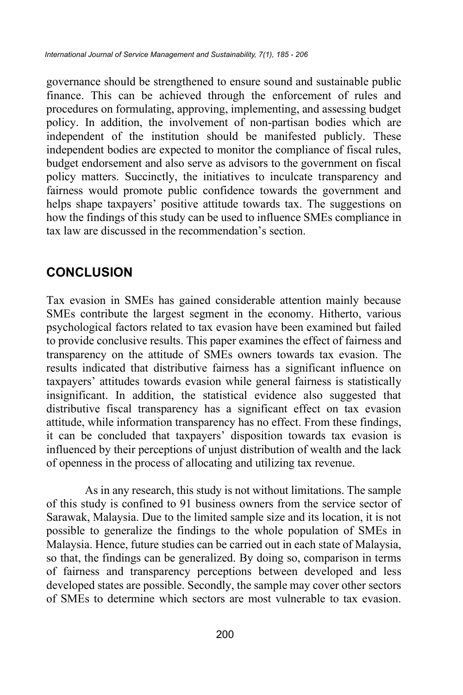governance should be strengthened to ensure sound and sustainable public finance. This can be achieved through the enforcement of rules and procedures on formulating, approving, implementing, and assessing budget policy. In addition, the involvement of non-partisan bodies which are independent of the institution should be manifested publicly. These independent bodies are expected to monitor the compliance of fiscal rules, budget endorsement and also serve as advisors to the government on fiscal policy matters. Succinctly, the initiatives to inculcate transparency and fairness would promote public confidence towards the government and helps shape taxpayers' positive attitude towards tax. The suggestions on how the findings of this study can be used to influence SMEs compliance in tax law are discussed in the recommendation's section.

# **CONCLUSION**

Tax evasion in SMEs has gained considerable attention mainly because SMEs contribute the largest segment in the economy. Hitherto, various psychological factors related to tax evasion have been examined but failed to provide conclusive results. This paper examines the effect of fairness and transparency on the attitude of SMEs owners towards tax evasion. The results indicated that distributive fairness has a significant influence on taxpayers' attitudes towards evasion while general fairness is statistically insignificant. In addition, the statistical evidence also suggested that distributive fiscal transparency has a significant effect on tax evasion attitude, while information transparency has no effect. From these findings, it can be concluded that taxpayers' disposition towards tax evasion is influenced by their perceptions of unjust distribution of wealth and the lack of openness in the process of allocating and utilizing tax revenue.

As in any research, this study is not without limitations. The sample of this study is confined to 91 business owners from the service sector of Sarawak, Malaysia. Due to the limited sample size and its location, it is not possible to generalize the findings to the whole population of SMEs in Malaysia. Hence, future studies can be carried out in each state of Malaysia, so that, the findings can be generalized. By doing so, comparison in terms of fairness and transparency perceptions between developed and less developed states are possible. Secondly, the sample may cover other sectors of SMEs to determine which sectors are most vulnerable to tax evasion.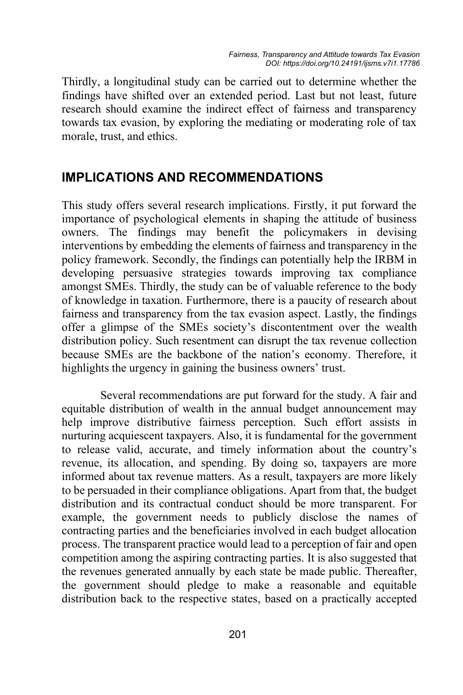Thirdly, a longitudinal study can be carried out to determine whether the findings have shifted over an extended period. Last but not least, future research should examine the indirect effect of fairness and transparency towards tax evasion, by exploring the mediating or moderating role of tax morale, trust, and ethics.

## **IMPLICATIONS AND RECOMMENDATIONS**

This study offers several research implications. Firstly, it put forward the importance of psychological elements in shaping the attitude of business owners. The findings may benefit the policymakers in devising interventions by embedding the elements of fairness and transparency in the policy framework. Secondly, the findings can potentially help the IRBM in developing persuasive strategies towards improving tax compliance amongst SMEs. Thirdly, the study can be of valuable reference to the body of knowledge in taxation. Furthermore, there is a paucity of research about fairness and transparency from the tax evasion aspect. Lastly, the findings offer a glimpse of the SMEs society's discontentment over the wealth distribution policy. Such resentment can disrupt the tax revenue collection because SMEs are the backbone of the nation's economy. Therefore, it highlights the urgency in gaining the business owners' trust.

Several recommendations are put forward for the study. A fair and equitable distribution of wealth in the annual budget announcement may help improve distributive fairness perception. Such effort assists in nurturing acquiescent taxpayers. Also, it is fundamental for the government to release valid, accurate, and timely information about the country's revenue, its allocation, and spending. By doing so, taxpayers are more informed about tax revenue matters. As a result, taxpayers are more likely to be persuaded in their compliance obligations. Apart from that, the budget distribution and its contractual conduct should be more transparent. For example, the government needs to publicly disclose the names of contracting parties and the beneficiaries involved in each budget allocation process. The transparent practice would lead to a perception of fair and open competition among the aspiring contracting parties. It is also suggested that the revenues generated annually by each state be made public. Thereafter, the government should pledge to make a reasonable and equitable distribution back to the respective states, based on a practically accepted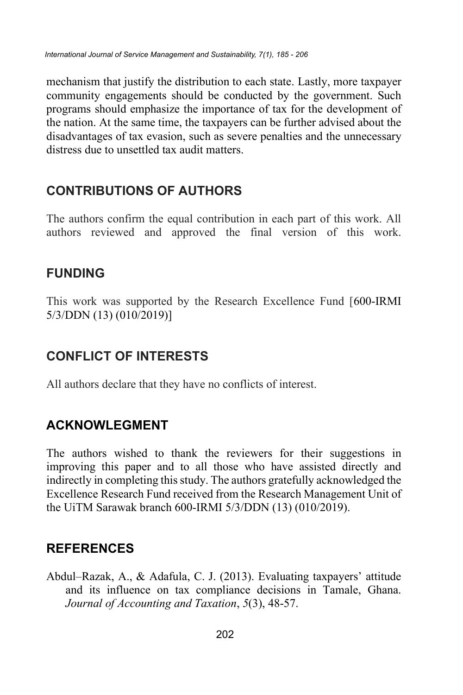mechanism that justify the distribution to each state. Lastly, more taxpayer community engagements should be conducted by the government. Such programs should emphasize the importance of tax for the development of the nation. At the same time, the taxpayers can be further advised about the disadvantages of tax evasion, such as severe penalties and the unnecessary distress due to unsettled tax audit matters.

# **CONTRIBUTIONS OF AUTHORS**

The authors confirm the equal contribution in each part of this work. All authors reviewed and approved the final version of this work.

# **FUNDING**

This work was supported by the Research Excellence Fund [600-IRMI 5/3/DDN (13) (010/2019)]

# **CONFLICT OF INTERESTS**

All authors declare that they have no conflicts of interest.

# **ACKNOWLEGMENT**

The authors wished to thank the reviewers for their suggestions in improving this paper and to all those who have assisted directly and indirectly in completing this study. The authors gratefully acknowledged the Excellence Research Fund received from the Research Management Unit of the UiTM Sarawak branch 600-IRMI 5/3/DDN (13) (010/2019).

# **REFERENCES**

Abdul–Razak, A., & Adafula, C. J. (2013). Evaluating taxpayers' attitude and its influence on tax compliance decisions in Tamale, Ghana. *Journal of Accounting and Taxation*, *5*(3), 48-57.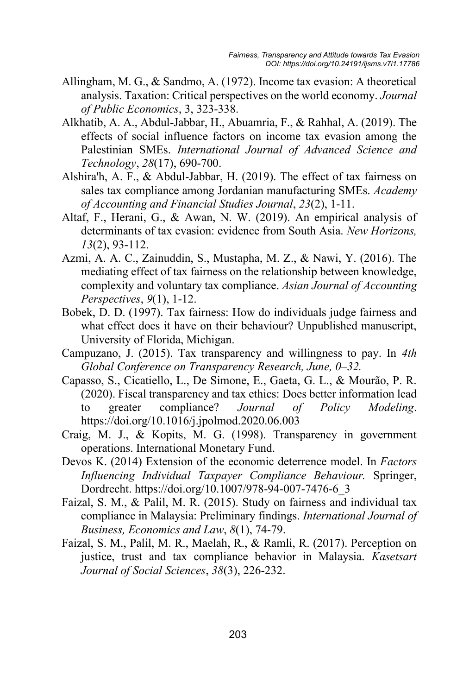- Allingham, M. G., & Sandmo, A. (1972). Income tax evasion: A theoretical analysis. Taxation: Critical perspectives on the world economy. *Journal of Public Economics*, 3, 323-338.
- Alkhatib, A. A., Abdul-Jabbar, H., Abuamria, F., & Rahhal, A. (2019). The effects of social influence factors on income tax evasion among the Palestinian SMEs. *International Journal of Advanced Science and Technology*, *28*(17), 690-700.
- Alshira'h, A. F., & Abdul-Jabbar, H. (2019). The effect of tax fairness on sales tax compliance among Jordanian manufacturing SMEs. *Academy of Accounting and Financial Studies Journal*, *23*(2), 1-11.
- Altaf, F., Herani, G., & Awan, N. W. (2019). An empirical analysis of determinants of tax evasion: evidence from South Asia. *New Horizons, 13*(2), 93-112.
- Azmi, A. A. C., Zainuddin, S., Mustapha, M. Z., & Nawi, Y. (2016). The mediating effect of tax fairness on the relationship between knowledge, complexity and voluntary tax compliance. *Asian Journal of Accounting Perspectives*, *9*(1), 1-12.
- Bobek, D. D. (1997). Tax fairness: How do individuals judge fairness and what effect does it have on their behaviour? Unpublished manuscript, University of Florida, Michigan.
- Campuzano, J. (2015). Tax transparency and willingness to pay. In *4th Global Conference on Transparency Research, June, 0–32.*
- Capasso, S., Cicatiello, L., De Simone, E., Gaeta, G. L., & Mourão, P. R. (2020). Fiscal transparency and tax ethics: Does better information lead to greater compliance? *Journal of Policy Modeling*. https://doi.org/10.1016/j.jpolmod.2020.06.003
- Craig, M. J., & Kopits, M. G. (1998). Transparency in government operations. International Monetary Fund.
- Devos K. (2014) Extension of the economic deterrence model. In *Factors Influencing Individual Taxpayer Compliance Behaviour.* Springer, Dordrecht. https://doi.org/10.1007/978-94-007-7476-6\_3
- Faizal, S. M., & Palil, M. R. (2015). Study on fairness and individual tax compliance in Malaysia: Preliminary findings. *International Journal of Business, Economics and Law*, *8*(1), 74-79.
- Faizal, S. M., Palil, M. R., Maelah, R., & Ramli, R. (2017). Perception on justice, trust and tax compliance behavior in Malaysia. *Kasetsart Journal of Social Sciences*, *38*(3), 226-232.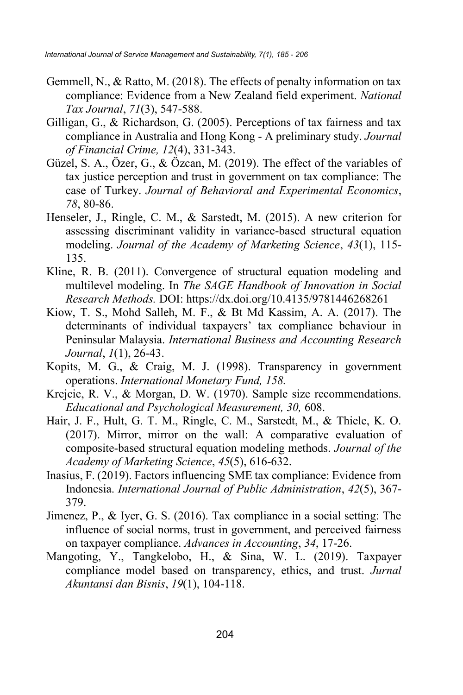- Gemmell, N., & Ratto, M. (2018). The effects of penalty information on tax compliance: Evidence from a New Zealand field experiment. *National Tax Journal*, *71*(3), 547-588.
- Gilligan, G., & Richardson, G. (2005). Perceptions of tax fairness and tax compliance in Australia and Hong Kong ‐ A preliminary study. *Journal of Financial Crime, 12*(4), 331-343.
- Güzel, S. A., Özer, G., & Özcan, M. (2019). The effect of the variables of tax justice perception and trust in government on tax compliance: The case of Turkey. *Journal of Behavioral and Experimental Economics*, *78*, 80-86.
- Henseler, J., Ringle, C. M., & Sarstedt, M. (2015). A new criterion for assessing discriminant validity in variance-based structural equation modeling. *Journal of the Academy of Marketing Science*, *43*(1), 115- 135.
- Kline, R. B. (2011). Convergence of structural equation modeling and multilevel modeling. In *The SAGE Handbook of Innovation in Social Research Methods.* DOI: https://dx.doi.org/10.4135/9781446268261
- Kiow, T. S., Mohd Salleh, M. F., & Bt Md Kassim, A. A. (2017). The determinants of individual taxpayers' tax compliance behaviour in Peninsular Malaysia. *International Business and Accounting Research Journal*, *1*(1), 26-43.
- Kopits, M. G., & Craig, M. J. (1998). Transparency in government operations. *International Monetary Fund, 158.*
- Krejcie, R. V., & Morgan, D. W. (1970). Sample size recommendations. *Educational and Psychological Measurement, 30,* 608.
- Hair, J. F., Hult, G. T. M., Ringle, C. M., Sarstedt, M., & Thiele, K. O. (2017). Mirror, mirror on the wall: A comparative evaluation of composite-based structural equation modeling methods. *Journal of the Academy of Marketing Science*, *45*(5), 616-632.
- Inasius, F. (2019). Factors influencing SME tax compliance: Evidence from Indonesia. *International Journal of Public Administration*, *42*(5), 367- 379.
- Jimenez, P., & Iyer, G. S. (2016). Tax compliance in a social setting: The influence of social norms, trust in government, and perceived fairness on taxpayer compliance. *Advances in Accounting*, *34*, 17-26.
- Mangoting, Y., Tangkelobo, H., & Sina, W. L. (2019). Taxpayer compliance model based on transparency, ethics, and trust. *Jurnal Akuntansi dan Bisnis*, *19*(1), 104-118.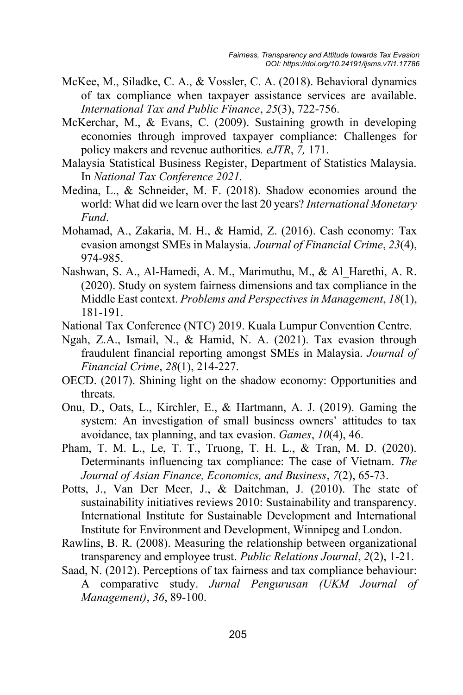- McKee, M., Siladke, C. A., & Vossler, C. A. (2018). Behavioral dynamics of tax compliance when taxpayer assistance services are available. *International Tax and Public Finance*, *25*(3), 722-756.
- McKerchar, M., & Evans, C. (2009). Sustaining growth in developing economies through improved taxpayer compliance: Challenges for policy makers and revenue authorities*. eJTR*, *7,* 171.
- Malaysia Statistical Business Register, Department of Statistics Malaysia. In *National Tax Conference 2021.*
- Medina, L., & Schneider, M. F. (2018). Shadow economies around the world: What did we learn over the last 20 years? *International Monetary Fund*.
- Mohamad, A., Zakaria, M. H., & Hamid, Z. (2016). Cash economy: Tax evasion amongst SMEs in Malaysia. *Journal of Financial Crime*, *23*(4), 974-985.
- Nashwan, S. A., Al-Hamedi, A. M., Marimuthu, M., & Al\_Harethi, A. R. (2020). Study on system fairness dimensions and tax compliance in the Middle East context. *Problems and Perspectives in Management*, *18*(1), 181-191.
- National Tax Conference (NTC) 2019. Kuala Lumpur Convention Centre.
- Ngah, Z.A., Ismail, N., & Hamid, N. A. (2021). Tax evasion through fraudulent financial reporting amongst SMEs in Malaysia. *Journal of Financial Crime*, *28*(1), 214-227.
- OECD. (2017). Shining light on the shadow economy: Opportunities and threats.
- Onu, D., Oats, L., Kirchler, E., & Hartmann, A. J. (2019). Gaming the system: An investigation of small business owners' attitudes to tax avoidance, tax planning, and tax evasion. *Games*, *10*(4), 46.
- Pham, T. M. L., Le, T. T., Truong, T. H. L., & Tran, M. D. (2020). Determinants influencing tax compliance: The case of Vietnam. *The Journal of Asian Finance, Economics, and Business*, *7*(2), 65-73.
- Potts, J., Van Der Meer, J., & Daitchman, J. (2010). The state of sustainability initiatives reviews 2010: Sustainability and transparency. International Institute for Sustainable Development and International Institute for Environment and Development, Winnipeg and London.
- Rawlins, B. R. (2008). Measuring the relationship between organizational transparency and employee trust. *Public Relations Journal*, *2*(2), 1-21.
- Saad, N. (2012). Perceptions of tax fairness and tax compliance behaviour: A comparative study. *Jurnal Pengurusan (UKM Journal of Management)*, *36*, 89-100.